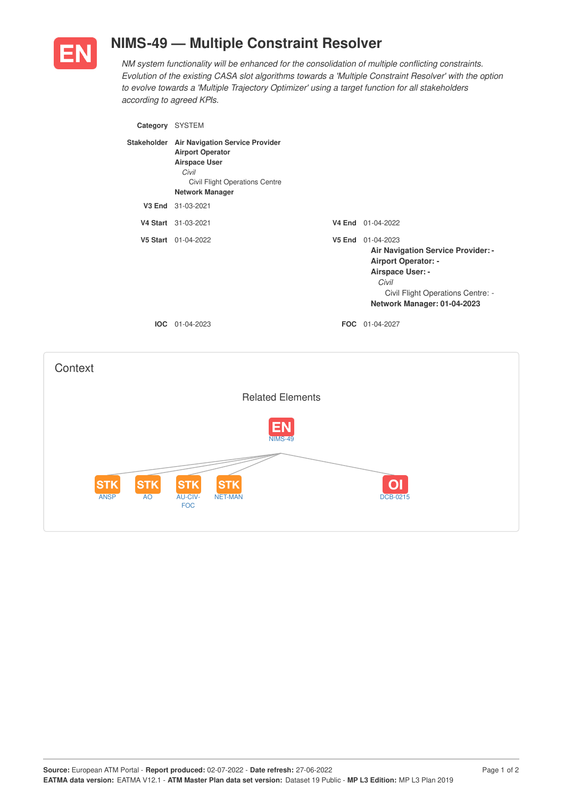

## **NIMS-49 — Multiple Constraint Resolver**

*NM system functionality will be enhanced for the consolidation of multiple conflicting constraints. Evolution of the existing CASA slot algorithms towards a 'Multiple Constraint Resolver' with the option to evolve towards a 'Multiple Trajectory Optimizer' using a target function for all stakeholders according to agreed KPIs.*

| Category SYSTEM                 |                                                                                                                                                                     |                                                                                                                                                                                 |
|---------------------------------|---------------------------------------------------------------------------------------------------------------------------------------------------------------------|---------------------------------------------------------------------------------------------------------------------------------------------------------------------------------|
|                                 | Stakeholder Air Navigation Service Provider<br><b>Airport Operator</b><br><b>Airspace User</b><br>Civil<br>Civil Flight Operations Centre<br><b>Network Manager</b> |                                                                                                                                                                                 |
|                                 | V3 End 31-03-2021                                                                                                                                                   |                                                                                                                                                                                 |
|                                 | V4 Start 31-03-2021                                                                                                                                                 | V4 End 01-04-2022                                                                                                                                                               |
|                                 | V5 Start 01-04-2022                                                                                                                                                 | V5 End 01-04-2023<br>Air Navigation Service Provider: -<br>Airport Operator: -<br>Airspace User: -<br>Civil<br>Civil Flight Operations Centre: -<br>Network Manager: 01-04-2023 |
|                                 | IOC 01-04-2023                                                                                                                                                      | FOC 01-04-2027                                                                                                                                                                  |
| Context                         |                                                                                                                                                                     |                                                                                                                                                                                 |
|                                 | <b>Related Elements</b>                                                                                                                                             |                                                                                                                                                                                 |
|                                 | <b>NIMS-49</b>                                                                                                                                                      |                                                                                                                                                                                 |
| STK<br><b>ANSP</b><br><b>AO</b> | STK<br>AU-CIV-<br><b>NET-MAN</b><br><b>FOC</b>                                                                                                                      | <b>DCB-0215</b>                                                                                                                                                                 |